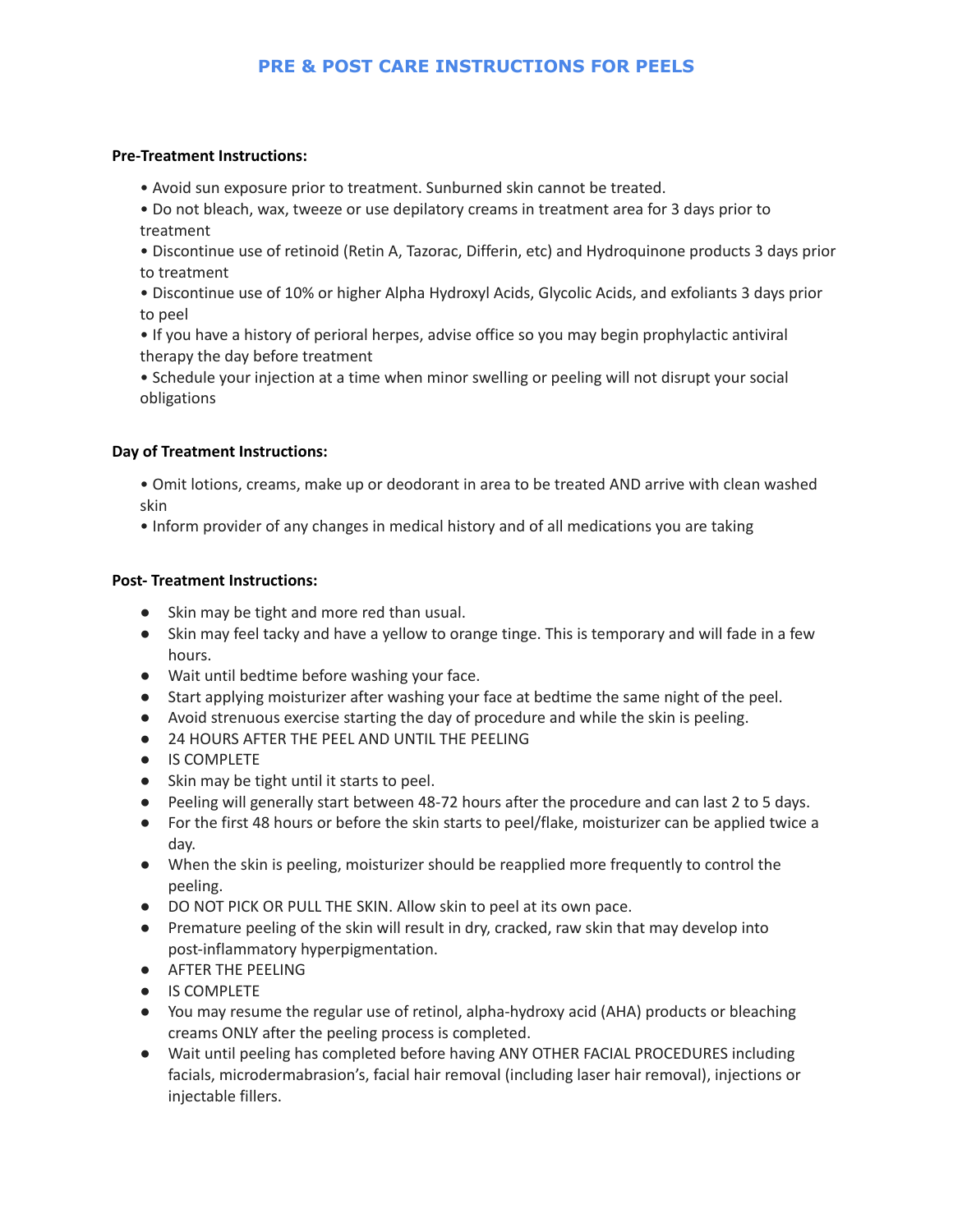# **PRE & POST CARE INSTRUCTIONS FOR PEELS**

#### **Pre-Treatment Instructions:**

- Avoid sun exposure prior to treatment. Sunburned skin cannot be treated.
- Do not bleach, wax, tweeze or use depilatory creams in treatment area for 3 days prior to treatment
- Discontinue use of retinoid (Retin A, Tazorac, Differin, etc) and Hydroquinone products 3 days prior to treatment
- Discontinue use of 10% or higher Alpha Hydroxyl Acids, Glycolic Acids, and exfoliants 3 days prior to peel
- If you have a history of perioral herpes, advise office so you may begin prophylactic antiviral therapy the day before treatment
- Schedule your injection at a time when minor swelling or peeling will not disrupt your social obligations

## **Day of Treatment Instructions:**

- Omit lotions, creams, make up or deodorant in area to be treated AND arrive with clean washed skin
- Inform provider of any changes in medical history and of all medications you are taking

## **Post- Treatment Instructions:**

- Skin may be tight and more red than usual.
- Skin may feel tacky and have a yellow to orange tinge. This is temporary and will fade in a few hours.
- Wait until bedtime before washing your face.
- Start applying moisturizer after washing your face at bedtime the same night of the peel.
- Avoid strenuous exercise starting the day of procedure and while the skin is peeling.
- 24 HOURS AFTER THE PEEL AND UNTIL THE PEELING
- IS COMPLETE
- Skin may be tight until it starts to peel.
- Peeling will generally start between 48-72 hours after the procedure and can last 2 to 5 days.
- For the first 48 hours or before the skin starts to peel/flake, moisturizer can be applied twice a day.
- When the skin is peeling, moisturizer should be reapplied more frequently to control the peeling.
- DO NOT PICK OR PULL THE SKIN. Allow skin to peel at its own pace.
- Premature peeling of the skin will result in dry, cracked, raw skin that may develop into post-inflammatory hyperpigmentation.
- AFTER THE PEELING
- IS COMPLETE
- You may resume the regular use of retinol, alpha-hydroxy acid (AHA) products or bleaching creams ONLY after the peeling process is completed.
- Wait until peeling has completed before having ANY OTHER FACIAL PROCEDURES including facials, microdermabrasion's, facial hair removal (including laser hair removal), injections or injectable fillers.